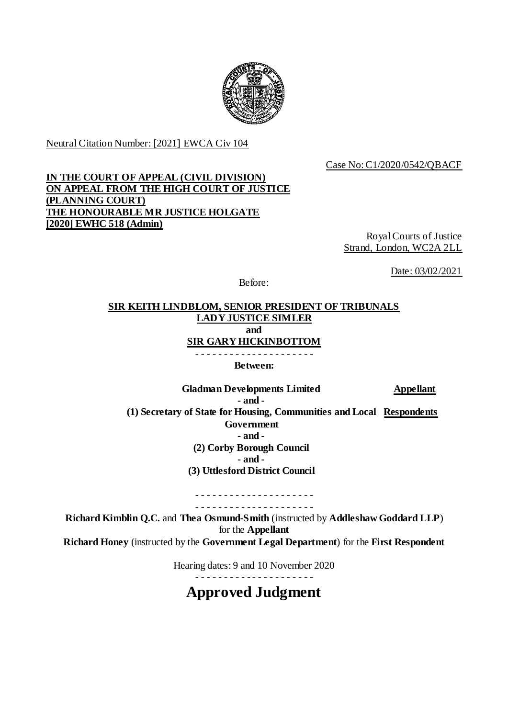

Neutral Citation Number: [2021] EWCA Civ 104

Case No: C1/2020/0542/QBACF

## **IN THE COURT OF APPEAL (CIVIL DIVISION) ON APPEAL FROM THE HIGH COURT OF JUSTICE (PLANNING COURT) THE HONOURABLE MR JUSTICE HOLGATE [2020] EWHC 518 (Admin)**

Royal Courts of Justice Strand, London, WC2A 2LL

Date: 03/02/2021

Before:

# **SIR KEITH LINDBLOM, SENIOR PRESIDENT OF TRIBUNALS LADY JUSTICE SIMLER and SIR GARY HICKINBOTTOM**

**Between:**

Gladman Developments Limited **Appellant - and - (1) Secretary of State for Housing, Communities and Local Respondents Government - and - (2) Corby Borough Council - and - (3) Uttlesford District Council** 

> - - - - - - - - - - - - - - - - - - - - - - - - - - - - - - - - - - - - - - - - - -

**Richard Kimblin Q.C.** and **Thea Osmund-Smith** (instructed by **Addleshaw Goddard LLP**) for the **Appellant Richard Honey** (instructed by the **Government Legal Department**) for the **First Respondent**

Hearing dates: 9 and 10 November 2020

**Approved Judgment**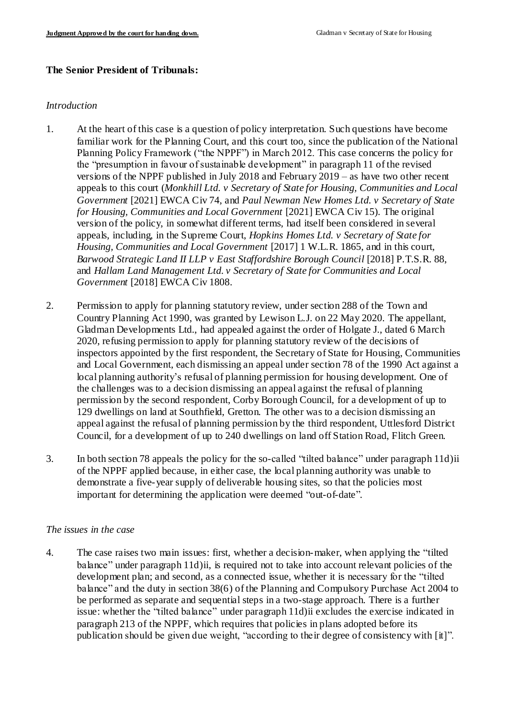### **The Senior President of Tribunals:**

#### *Introduction*

- 1. At the heart of this case is a question of policy interpretation. Such questions have become familiar work for the Planning Court, and this court too, since the publication of the National Planning Policy Framework ("the NPPF") in March 2012. This case concerns the policy for the "presumption in favour of sustainable development" in paragraph 11 of the revised versions of the NPPF published in July 2018 and February 2019 – as have two other recent appeals to this court (*Monkhill Ltd. v Secretary of State for Housing, Communities and Local Government* [2021] EWCA Civ 74, and *Paul Newman New Homes Ltd. v Secretary of State for Housing, Communities and Local Government* [2021] EWCA Civ 15). The original version of the policy, in somewhat different terms, had itself been considered in several appeals, including, in the Supreme Court, *Hopkins Homes Ltd. v Secretary of State for Housing, Communities and Local Government* [2017] 1 W.L.R. 1865, and in this court, *Barwood Strategic Land II LLP v East Staffordshire Borough Council* [2018] P.T.S.R. 88, and *Hallam Land Management Ltd. v Secretary of State for Communities and Local Government* [2018] EWCA Civ 1808.
- 2. Permission to apply for planning statutory review, under section 288 of the Town and Country Planning Act 1990, was granted by Lewison L.J. on 22 May 2020. The appellant, Gladman Developments Ltd., had appealed against the order of Holgate J., dated 6 March 2020, refusing permission to apply for planning statutory review of the decisions of inspectors appointed by the first respondent, the Secretary of State for Housing, Communities and Local Government, each dismissing an appeal under section 78 of the 1990 Act against a local planning authority's refusal of planning permission for housing development. One of the challenges was to a decision dismissing an appeal against the refusal of planning permission by the second respondent, Corby Borough Council, for a development of up to 129 dwellings on land at Southfield, Gretton. The other was to a decision dismissing an appeal against the refusal of planning permission by the third respondent, Uttlesford District Council, for a development of up to 240 dwellings on land off Station Road, Flitch Green.
- 3. In both section 78 appeals the policy for the so-called "tilted balance" under paragraph 11d)ii of the NPPF applied because, in either case, the local planning authority was unable to demonstrate a five-year supply of deliverable housing sites, so that the policies most important for determining the application were deemed "out-of-date".

### *The issues in the case*

4. The case raises two main issues: first, whether a decision-maker, when applying the "tilted balance" under paragraph 11d)ii, is required not to take into account relevant policies of the development plan; and second, as a connected issue, whether it is necessary for the "tilted balance" and the duty in section 38(6) of the Planning and Compulsory Purchase Act 2004 to be performed as separate and sequential steps in a two-stage approach. There is a further issue: whether the "tilted balance" under paragraph 11d)ii excludes the exercise indicated in paragraph 213 of the NPPF, which requires that policies in plans adopted before its publication should be given due weight, "according to their degree of consistency with [it]".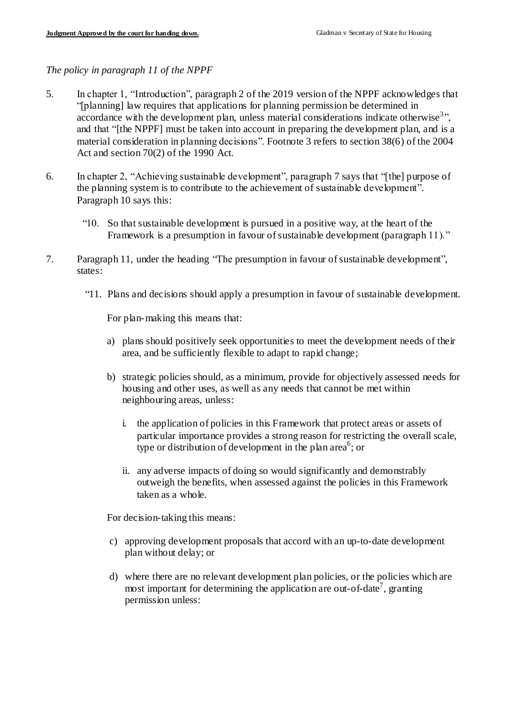*The policy in paragraph 11 of the NPPF*

- 5. In chapter 1, "Introduction", paragraph 2 of the 2019 version of the NPPF acknowledges that "[planning] law requires that applications for planning permission be determined in accordance with the development plan, unless material considerations indicate otherwise<sup>3</sup>", and that "[the NPPF] must be taken into account in preparing the development plan, and is a material consideration in planning decisions". Footnote 3 refers to section 38(6) of the 2004 Act and section 70(2) of the 1990 Act.
- 6. In chapter 2, "Achieving sustainable development", paragraph 7 says that "[the] purpose of the planning system is to contribute to the achievement of sustainable development". Paragraph 10 says this:
	- "10. So that sustainable development is pursued in a positive way, at the heart of the Framework is a presumption in favour of sustainable development (paragraph 11)."
- 7. Paragraph 11, under the heading "The presumption in favour of sustainable development", states:
	- "11. Plans and decisions should apply a presumption in favour of sustainable development.

For plan-making this means that:

- a) plans should positively seek opportunities to meet the development needs of their area, and be sufficiently flexible to adapt to rapid change;
- b) strategic policies should, as a minimum, provide for objectively assessed needs for housing and other uses, as well as any needs that cannot be met within neighbouring areas, unless:
	- i. the application of policies in this Framework that protect areas or assets of particular importance provides a strong reason for restricting the overall scale, type or distribution of development in the plan area<sup>6</sup>; or
	- ii. any adverse impacts of doing so would significantly and demonstrably outweigh the benefits, when assessed against the policies in this Framework taken as a whole.

For decision-taking this means:

- c) approving development proposals that accord with an up-to-date development plan without delay; or
- d) where there are no relevant development plan policies, or the policies which are most important for determining the application are out-of-date<sup>7</sup>, granting permission unless: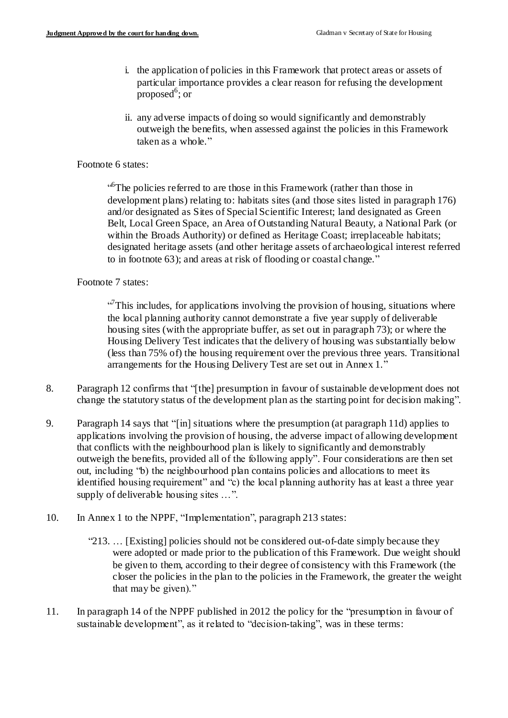- i. the application of policies in this Framework that protect areas or assets of particular importance provides a clear reason for refusing the development  $proposed<sup>6</sup>$ ; or
- ii. any adverse impacts of doing so would significantly and demonstrably outweigh the benefits, when assessed against the policies in this Framework taken as a whole."

#### Footnote 6 states:

<sup>6</sup>The policies referred to are those in this Framework (rather than those in development plans) relating to: habitats sites (and those sites listed in paragraph 176) and/or designated as Sites of Special Scientific Interest; land designated as Green Belt, Local Green Space, an Area of Outstanding Natural Beauty, a National Park (or within the Broads Authority) or defined as Heritage Coast; irreplaceable habitats; designated heritage assets (and other heritage assets of archaeological interest referred to in footnote 63); and areas at risk of flooding or coastal change."

### Footnote 7 states:

<sup>17</sup>This includes, for applications involving the provision of housing, situations where the local planning authority cannot demonstrate a five year supply of deliverable housing sites (with the appropriate buffer, as set out in paragraph 73); or where the Housing Delivery Test indicates that the delivery of housing was substantially below (less than 75% of) the housing requirement over the previous three years. Transitional arrangements for the Housing Delivery Test are set out in Annex 1."

- 8. Paragraph 12 confirms that "[the] presumption in favour of sustainable development does not change the statutory status of the development plan as the starting point for decision making".
- 9. Paragraph 14 says that "[in] situations where the presumption (at paragraph 11d) applies to applications involving the provision of housing, the adverse impact of allowing development that conflicts with the neighbourhood plan is likely to significantly and demonstrably outweigh the benefits, provided all of the following apply". Four considerations are then set out, including "b) the neighbourhood plan contains policies and allocations to meet its identified housing requirement" and "c) the local planning authority has at least a three year supply of deliverable housing sites …".
- 10. In Annex 1 to the NPPF, "Implementation", paragraph 213 states:
	- "213. … [Existing] policies should not be considered out-of-date simply because they were adopted or made prior to the publication of this Framework. Due weight should be given to them, according to their degree of consistency with this Framework (the closer the policies in the plan to the policies in the Framework, the greater the weight that may be given)."
- 11. In paragraph 14 of the NPPF published in 2012 the policy for the "presumption in favour of sustainable development", as it related to "decision-taking", was in these terms: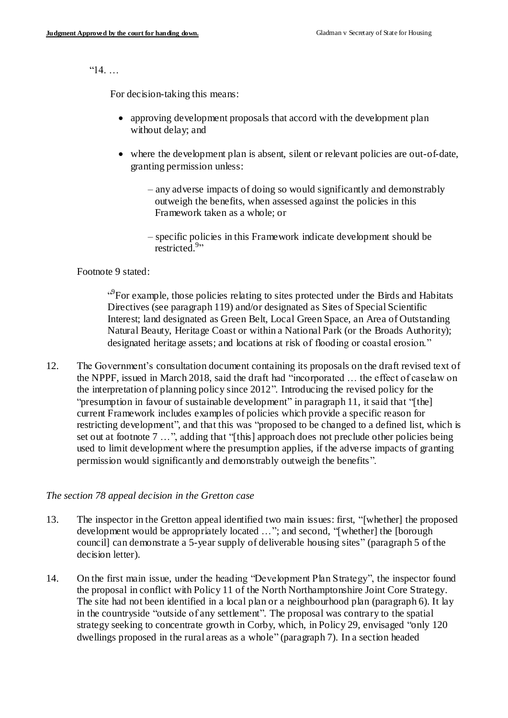$"14$ ...

For decision-taking this means:

- approving development proposals that accord with the development plan without delay; and
- where the development plan is absent, silent or relevant policies are out-of-date, granting permission unless:
	- any adverse impacts of doing so would significantly and demonstrably outweigh the benefits, when assessed against the policies in this Framework taken as a whole; or
	- specific policies in this Framework indicate development should be restricted.<sup>9</sup>"

Footnote 9 stated:

<sup>3</sup>For example, those policies relating to sites protected under the Birds and Habitats Directives (see paragraph 119) and/or designated as Sites of Special Scientific Interest; land designated as Green Belt, Local Green Space, an Area of Outstanding Natural Beauty, Heritage Coast or within a National Park (or the Broads Authority); designated heritage assets; and locations at risk of flooding or coastal erosion."

12. The Government's consultation document containing its proposals on the draft revised text of the NPPF, issued in March 2018, said the draft had "incorporated … the effect of caselaw on the interpretation of planning policy since 2012". Introducing the revised policy for the "presumption in favour of sustainable development" in paragraph 11, it said that "[the] current Framework includes examples of policies which provide a specific reason for restricting development", and that this was "proposed to be changed to a defined list, which is set out at footnote 7 …", adding that "[this] approach does not preclude other policies being used to limit development where the presumption applies, if the adverse impacts of granting permission would significantly and demonstrably outweigh the benefits".

#### *The section 78 appeal decision in the Gretton case*

- 13. The inspector in the Gretton appeal identified two main issues: first, "[whether] the proposed development would be appropriately located ..."; and second, "[whether] the [borough] council] can demonstrate a 5-year supply of deliverable housing sites" (paragraph 5 of the decision letter).
- 14. On the first main issue, under the heading "Development Plan Strategy", the inspector found the proposal in conflict with Policy 11 of the North Northamptonshire Joint Core Strategy. The site had not been identified in a local plan or a neighbourhood plan (paragraph 6). It lay in the countryside "outside of any settlement". The proposal was contrary to the spatial strategy seeking to concentrate growth in Corby, which, in Policy 29, envisaged "only 120 dwellings proposed in the rural areas as a whole" (paragraph 7). In a section headed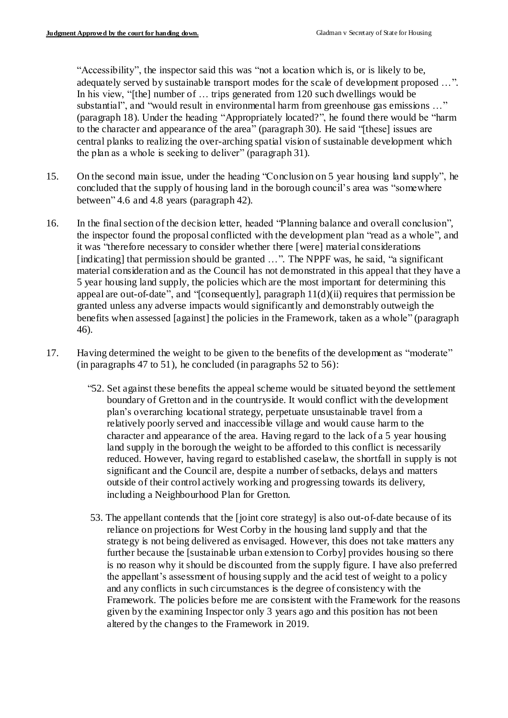"Accessibility", the inspector said this was "not a location which is, or is likely to be, adequately served by sustainable transport modes for the scale of development proposed …". In his view, "[the] number of ... trips generated from 120 such dwellings would be substantial", and "would result in environmental harm from greenhouse gas emissions …" (paragraph 18). Under the heading "Appropriately located?", he found there would be "harm to the character and appearance of the area" (paragraph 30). He said "[these] issues are central planks to realizing the over-arching spatial vision of sustainable development which the plan as a whole is seeking to deliver" (paragraph 31).

- 15. On the second main issue, under the heading "Conclusion on 5 year housing land supply", he concluded that the supply of housing land in the borough council's area was "somewhere between" 4.6 and 4.8 years (paragraph 42).
- 16. In the final section of the decision letter, headed "Planning balance and overall conclusion", the inspector found the proposal conflicted with the development plan "read as a whole", and it was "therefore necessary to consider whether there [were] material considerations [indicating] that permission should be granted …". The NPPF was, he said, "a significant material consideration and as the Council has not demonstrated in this appeal that they have a 5 year housing land supply, the policies which are the most important for determining this appeal are out-of-date", and "[consequently], paragraph  $11(d)(ii)$  requires that permission be granted unless any adverse impacts would significantly and demonstrably outweigh the benefits when assessed [against] the policies in the Framework, taken as a whole" (paragraph 46).
- 17. Having determined the weight to be given to the benefits of the development as "moderate" (in paragraphs 47 to 51), he concluded (in paragraphs 52 to 56):
	- "52. Set against these benefits the appeal scheme would be situated beyond the settlement boundary of Gretton and in the countryside. It would conflict with the development plan's overarching locational strategy, perpetuate unsustainable travel from a relatively poorly served and inaccessible village and would cause harm to the character and appearance of the area. Having regard to the lack of a 5 year housing land supply in the borough the weight to be afforded to this conflict is necessarily reduced. However, having regard to established caselaw, the shortfall in supply is not significant and the Council are, despite a number of setbacks, delays and matters outside of their control actively working and progressing towards its delivery, including a Neighbourhood Plan for Gretton.
	- 53. The appellant contends that the [joint core strategy] is also out-of-date because of its reliance on projections for West Corby in the housing land supply and that the strategy is not being delivered as envisaged. However, this does not take matters any further because the [sustainable urban extension to Corby] provides housing so there is no reason why it should be discounted from the supply figure. I have also preferred the appellant's assessment of housing supply and the acid test of weight to a policy and any conflicts in such circumstances is the degree of consistency with the Framework. The policies before me are consistent with the Framework for the reasons given by the examining Inspector only 3 years ago and this position has not been altered by the changes to the Framework in 2019.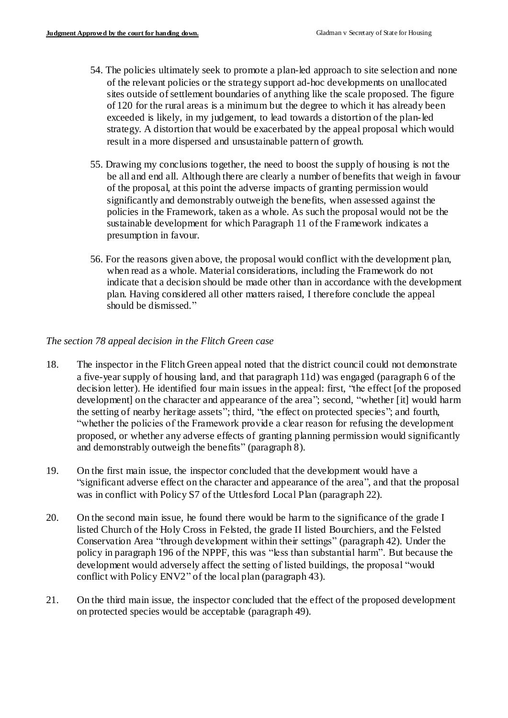- 54. The policies ultimately seek to promote a plan-led approach to site selection and none of the relevant policies or the strategy support ad-hoc developments on unallocated sites outside of settlement boundaries of anything like the scale proposed. The figure of 120 for the rural areas is a minimum but the degree to which it has already been exceeded is likely, in my judgement, to lead towards a distortion of the plan-led strategy. A distortion that would be exacerbated by the appeal proposal which would result in a more dispersed and unsustainable pattern of growth.
- 55. Drawing my conclusions together, the need to boost the supply of housing is not the be all and end all. Although there are clearly a number of benefits that weigh in favour of the proposal, at this point the adverse impacts of granting permission would significantly and demonstrably outweigh the benefits, when assessed against the policies in the Framework, taken as a whole. As such the proposal would not be the sustainable development for which Paragraph 11 of the Framework indicates a presumption in favour.
- 56. For the reasons given above, the proposal would conflict with the development plan, when read as a whole. Material considerations, including the Framework do not indicate that a decision should be made other than in accordance with the development plan. Having considered all other matters raised, I therefore conclude the appeal should be dismissed."

### *The section 78 appeal decision in the Flitch Green case*

- 18. The inspector in the Flitch Green appeal noted that the district council could not demonstrate a five-year supply of housing land, and that paragraph 11d) was engaged (paragraph 6 of the decision letter). He identified four main issues in the appeal: first, "the effect [of the proposed development] on the character and appearance of the area"; second, "whether [it] would harm the setting of nearby heritage assets"; third, "the effect on protected species"; and fourth, "whether the policies of the Framework provide a clear reason for refusing the development proposed, or whether any adverse effects of granting planning permission would significantly and demonstrably outweigh the benefits" (paragraph 8).
- 19. On the first main issue, the inspector concluded that the development would have a "significant adverse effect on the character and appearance of the area", and that the proposal was in conflict with Policy S7 of the Uttlesford Local Plan (paragraph 22).
- 20. On the second main issue, he found there would be harm to the significance of the grade I listed Church of the Holy Cross in Felsted, the grade II listed Bourchiers, and the Felsted Conservation Area "through development within their settings" (paragraph 42). Under the policy in paragraph 196 of the NPPF, this was "less than substantial harm". But because the development would adversely affect the setting of listed buildings, the proposal "would conflict with Policy ENV2" of the local plan (paragraph 43).
- 21. On the third main issue, the inspector concluded that the effect of the proposed development on protected species would be acceptable (paragraph 49).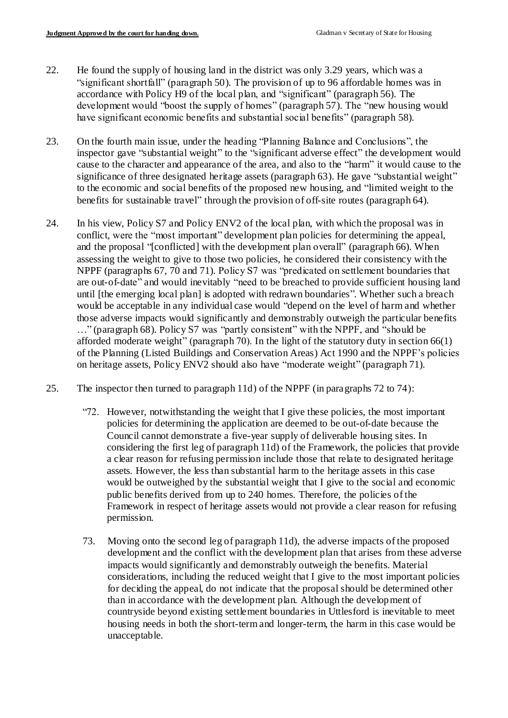- 22. He found the supply of housing land in the district was only 3.29 years, which was a "significant shortfall" (paragraph 50). The provision of up to 96 affordable homes was in accordance with Policy H9 of the local plan, and "significant" (paragraph 56). The development would "boost the supply of homes" (paragraph 57). The "new housing would have significant economic benefits and substantial social benefits" (paragraph 58).
- 23. On the fourth main issue, under the heading "Planning Balance and Conclusions", the inspector gave "substantial weight" to the "significant adverse effect" the development would cause to the character and appearance of the area, and also to the "harm" it would cause to the significance of three designated heritage assets (paragraph 63). He gave "substantial weight" to the economic and social benefits of the proposed new housing, and "limited weight to the benefits for sustainable travel" through the provision of off-site routes (paragraph 64).
- 24. In his view, Policy S7 and Policy ENV2 of the local plan, with which the proposal was in conflict, were the "most important" development plan policies for determining the appeal, and the proposal "[conflicted] with the development plan overall" (paragraph 66). When assessing the weight to give to those two policies, he considered their consistency with the NPPF (paragraphs 67, 70 and 71). Policy S7 was "predicated on settlement boundaries that are out-of-date" and would inevitably "need to be breached to provide sufficient housing land until [the emerging local plan] is adopted with redrawn boundaries". Whether such a breach would be acceptable in any individual case would "depend on the level of harm and whether those adverse impacts would significantly and demonstrably outweigh the particular benefits …" (paragraph 68). Policy S7 was "partly consistent" with the NPPF, and "should be afforded moderate weight" (paragraph 70). In the light of the statutory duty in section 66(1) of the Planning (Listed Buildings and Conservation Areas) Act 1990 and the NPPF's policies on heritage assets, Policy ENV2 should also have "moderate weight" (paragraph 71).
- 25. The inspector then turned to paragraph 11d) of the NPPF (in paragraphs 72 to 74):
	- "72. However, notwithstanding the weight that I give these policies, the most important policies for determining the application are deemed to be out-of-date because the Council cannot demonstrate a five-year supply of deliverable housing sites. In considering the first leg of paragraph 11d) of the Framework, the policies that provide a clear reason for refusing permission include those that relate to designated heritage assets. However, the less than substantial harm to the heritage assets in this case would be outweighed by the substantial weight that I give to the social and economic public benefits derived from up to 240 homes. Therefore, the policies of the Framework in respect of heritage assets would not provide a clear reason for refusing permission.
	- 73. Moving onto the second leg of paragraph 11d), the adverse impacts of the proposed development and the conflict with the development plan that arises from these adverse impacts would significantly and demonstrably outweigh the benefits. Material considerations, including the reduced weight that I give to the most important policies for deciding the appeal, do not indicate that the proposal should be determined other than in accordance with the development plan. Although the development of countryside beyond existing settlement boundaries in Uttlesford is inevitable to meet housing needs in both the short-term and longer-term, the harm in this case would be unacceptable.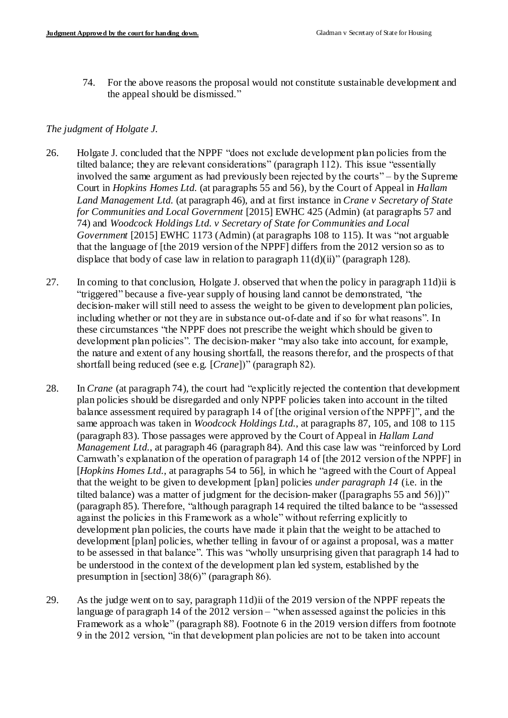74. For the above reasons the proposal would not constitute sustainable development and the appeal should be dismissed."

### *The judgment of Holgate J.*

- 26. Holgate J. concluded that the NPPF "does not exclude development plan policies from the tilted balance; they are relevant considerations" (paragraph 112). This issue "essentially involved the same argument as had previously been rejected by the courts" – by the Supreme Court in *Hopkins Homes Ltd.* (at paragraphs 55 and 56), by the Court of Appeal in *Hallam Land Management Ltd.* (at paragraph 46), and at first instance in *Crane v Secretary of State for Communities and Local Government* [2015] EWHC 425 (Admin) (at paragraphs 57 and 74) and *Woodcock Holdings Ltd. v Secretary of State for Communities and Local Government* [2015] EWHC 1173 (Admin) (at paragraphs 108 to 115). It was "not arguable that the language of [the 2019 version of the NPPF] differs from the 2012 version so as to displace that body of case law in relation to paragraph  $11(d)(ii)$ " (paragraph 128).
- 27. In coming to that conclusion, Holgate J. observed that when the policy in paragraph 11d)ii is "triggered" because a five-year supply of housing land cannot be demonstrated, "the decision-maker will still need to assess the weight to be given to development plan policies, including whether or not they are in substance out-of-date and if so for what reasons". In these circumstances "the NPPF does not prescribe the weight which should be given to development plan policies". The decision-maker "may also take into account, for example, the nature and extent of any housing shortfall, the reasons therefor, and the prospects of that shortfall being reduced (see e.g. [*Crane*])" (paragraph 82).
- 28. In *Crane* (at paragraph 74), the court had "explicitly rejected the contention that development plan policies should be disregarded and only NPPF policies taken into account in the tilted balance assessment required by paragraph 14 of [the original version of the NPPF]", and the same approach was taken in *Woodcock Holdings Ltd.*, at paragraphs 87, 105, and 108 to 115 (paragraph 83). Those passages were approved by the Court of Appeal in *Hallam Land Management Ltd.*, at paragraph 46 (paragraph 84). And this case law was "reinforced by Lord Carnwath's explanation of the operation of paragraph 14 of [the 2012 version of the NPPF] in [*Hopkins Homes Ltd.*, at paragraphs 54 to 56], in which he "agreed with the Court of Appeal that the weight to be given to development [plan] policies *under paragraph 14* (i.e. in the tilted balance) was a matter of judgment for the decision-maker ([paragraphs 55 and 56)])" (paragraph 85). Therefore, "although paragraph 14 required the tilted balance to be "assessed against the policies in this Framework as a whole" without referring explicitly to development plan policies, the courts have made it plain that the weight to be attached to development [plan] policies, whether telling in favour of or against a proposal, was a matter to be assessed in that balance". This was "wholly unsurprising given that paragraph 14 had to be understood in the context of the development plan led system, established by the presumption in [section] 38(6)" (paragraph 86).
- 29. As the judge went on to say, paragraph 11d)ii of the 2019 version of the NPPF repeats the language of paragraph 14 of the 2012 version – "when assessed against the policies in this Framework as a whole" (paragraph 88). Footnote 6 in the 2019 version differs from footnote 9 in the 2012 version, "in that development plan policies are not to be taken into account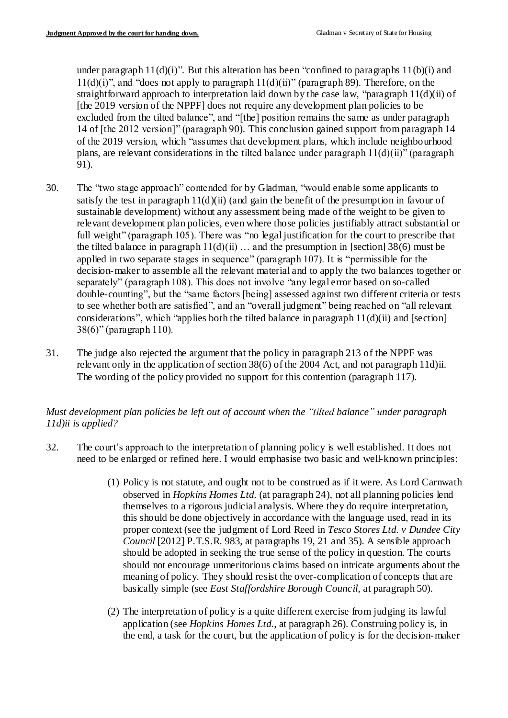under paragraph  $11(d)(i)$ ". But this alteration has been "confined to paragraphs  $11(b)(i)$  and  $11(d)(i)$ , and "does not apply to paragraph  $11(d)(ii)$ " (paragraph 89). Therefore, on the straightforward approach to interpretation laid down by the case law, "paragraph 11(d)(ii) of [the 2019 version of the NPPF] does not require any development plan policies to be excluded from the tilted balance", and "[the] position remains the same as under paragraph 14 of [the 2012 version]" (paragraph 90). This conclusion gained support from paragraph 14 of the 2019 version, which "assumes that development plans, which include neighbourhood plans, are relevant considerations in the tilted balance under paragraph  $11(d)(ii)$ " (paragraph 91).

- 30. The "two stage approach" contended for by Gladman, "would enable some applicants to satisfy the test in paragraph  $11(d)(ii)$  (and gain the benefit of the presumption in favour of sustainable development) without any assessment being made of the weight to be given to relevant development plan policies, even where those policies justifiably attract substantial or full weight" (paragraph 105). There was "no legal justification for the court to prescribe that the tilted balance in paragraph  $11(d)(ii)$  ... and the presumption in [section] 38(6) must be applied in two separate stages in sequence" (paragraph 107). It is "permissible for the decision-maker to assemble all the relevant material and to apply the two balances together or separately" (paragraph 108). This does not involve "any legal error based on so-called double-counting", but the "same factors [being] assessed against two different criteria or tests to see whether both are satisfied", and an "overall judgment" being reached on "all relevant considerations", which "applies both the tilted balance in paragraph  $11(d)(ii)$  and [section] 38(6)" (paragraph 110).
- 31. The judge also rejected the argument that the policy in paragraph 213 of the NPPF was relevant only in the application of section 38(6) of the 2004 Act, and not paragraph 11d)ii. The wording of the policy provided no support for this contention (paragraph 117).

## *Must development plan policies be left out of account when the "tilted balance" under paragraph 11d)ii is applied?*

- 32. The court's approach to the interpretation of planning policy is well established. It does not need to be enlarged or refined here. I would emphasise two basic and well-known principles:
	- (1) Policy is not statute, and ought not to be construed as if it were. As Lord Carnwath observed in *Hopkins Homes Ltd.* (at paragraph 24), not all planning policies lend themselves to a rigorous judicial analysis. Where they do require interpretation, this should be done objectively in accordance with the language used, read in its proper context (see the judgment of Lord Reed in *Tesco Stores Ltd. v Dundee City Council* [2012] P.T.S.R. 983, at paragraphs 19, 21 and 35). A sensible approach should be adopted in seeking the true sense of the policy in question. The courts should not encourage unmeritorious claims based on intricate arguments about the meaning of policy. They should resist the over-complication of concepts that are basically simple (see *East Staffordshire Borough Council*, at paragraph 50).
	- (2) The interpretation of policy is a quite different exercise from judging its lawful application (see *Hopkins Homes Ltd.*, at paragraph 26). Construing policy is, in the end, a task for the court, but the application of policy is for the decision-maker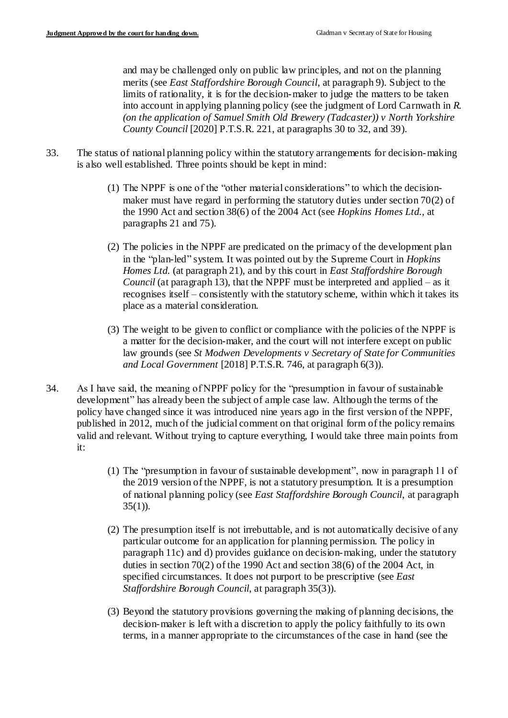and may be challenged only on public law principles, and not on the planning merits (see *East Staffordshire Borough Council*, at paragraph 9). Subject to the limits of rationality, it is for the decision-maker to judge the matters to be taken into account in applying planning policy (see the judgment of Lord Carnwath in *R. (on the application of Samuel Smith Old Brewery (Tadcaster)) v North Yorkshire County Council* [2020] P.T.S.R. 221, at paragraphs 30 to 32, and 39).

- 33. The status of national planning policy within the statutory arrangements for decision-making is also well established. Three points should be kept in mind:
	- (1) The NPPF is one of the "other material considerations" to which the decisionmaker must have regard in performing the statutory duties under section 70(2) of the 1990 Act and section 38(6) of the 2004 Act (see *Hopkins Homes Ltd.*, at paragraphs 21 and 75).
	- (2) The policies in the NPPF are predicated on the primacy of the development plan in the "plan-led" system. It was pointed out by the Supreme Court in *Hopkins Homes Ltd.* (at paragraph 21), and by this court in *East Staffordshire Borough Council* (at paragraph 13), that the NPPF must be interpreted and applied – as it recognises itself – consistently with the statutory scheme, within which it takes its place as a material consideration.
	- (3) The weight to be given to conflict or compliance with the policies of the NPPF is a matter for the decision-maker, and the court will not interfere except on public law grounds (see *St Modwen Developments v Secretary of State for Communities and Local Government* [2018] P.T.S.R. 746, at paragraph 6(3)).
- 34. As I have said, the meaning of NPPF policy for the "presumption in favour of sustainable development" has already been the subject of ample case law. Although the terms of the policy have changed since it was introduced nine years ago in the first version of the NPPF, published in 2012, much of the judicial comment on that original form of the policy remains valid and relevant. Without trying to capture everything, I would take three main points from it:
	- (1) The "presumption in favour of sustainable development", now in paragraph 11 of the 2019 version of the NPPF, is not a statutory presumption. It is a presumption of national planning policy (see *East Staffordshire Borough Council*, at paragraph  $35(1)$ ).
	- (2) The presumption itself is not irrebuttable, and is not automatically decisive of any particular outcome for an application for planning permission. The policy in paragraph 11c) and d) provides guidance on decision-making, under the statutory duties in section 70(2) of the 1990 Act and section 38(6) of the 2004 Act, in specified circumstances. It does not purport to be prescriptive (see *East Staffordshire Borough Council*, at paragraph 35(3)).
	- (3) Beyond the statutory provisions governing the making of planning decisions, the decision-maker is left with a discretion to apply the policy faithfully to its own terms, in a manner appropriate to the circumstances of the case in hand (see the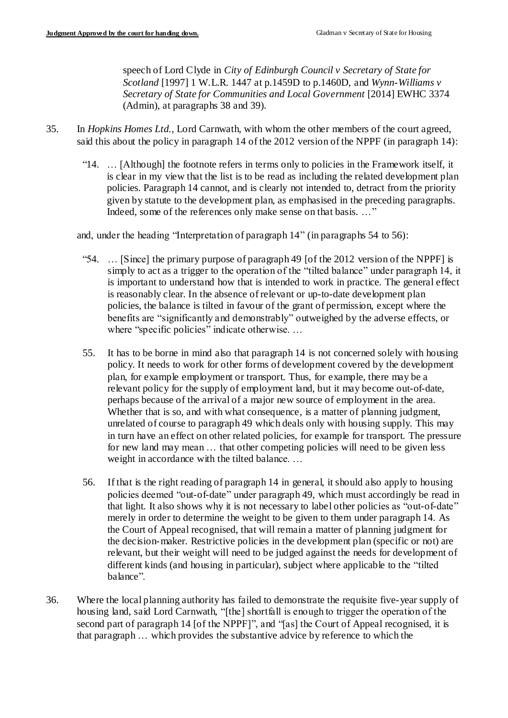speech of Lord Clyde in *City of Edinburgh Council v Secretary of State for Scotland* [1997] 1 W.L.R. 1447 at p.1459D to p.1460D, and *Wynn-Williams v Secretary of State for Communities and Local Government* [2014] EWHC 3374 (Admin), at paragraphs 38 and 39).

- 35. In *Hopkins Homes Ltd.*, Lord Carnwath, with whom the other members of the court agreed, said this about the policy in paragraph 14 of the 2012 version of the NPPF (in paragraph 14):
	- "14. … [Although] the footnote refers in terms only to policies in the Framework itself, it is clear in my view that the list is to be read as including the related development plan policies. Paragraph 14 cannot, and is clearly not intended to, detract from the priority given by statute to the development plan, as emphasised in the preceding paragraphs. Indeed, some of the references only make sense on that basis. …"

and, under the heading "Interpretation of paragraph 14" (in paragraphs 54 to 56):

- "54. … [Since] the primary purpose of paragraph 49 [of the 2012 version of the NPPF] is simply to act as a trigger to the operation of the "tilted balance" under paragraph 14, it is important to understand how that is intended to work in practice. The general effect is reasonably clear. In the absence of relevant or up-to-date development plan policies, the balance is tilted in favour of the grant of permission, except where the benefits are "significantly and demonstrably" outweighed by the adverse effects, or where "specific policies" indicate otherwise. …
- 55. It has to be borne in mind also that paragraph 14 is not concerned solely with housing policy. It needs to work for other forms of development covered by the development plan, for example employment or transport. Thus, for example, there may be a relevant policy for the supply of employment land, but it may become out-of-date, perhaps because of the arrival of a major new source of employment in the area. Whether that is so, and with what consequence, is a matter of planning judgment, unrelated of course to paragraph 49 which deals only with housing supply. This may in turn have an effect on other related policies, for example for transport. The pressure for new land may mean … that other competing policies will need to be given less weight in accordance with the tilted balance. …
- 56. If that is the right reading of paragraph 14 in general, it should also apply to housing policies deemed "out-of-date" under paragraph 49, which must accordingly be read in that light. It also shows why it is not necessary to label other policies as "out-of-date" merely in order to determine the weight to be given to them under paragraph 14. As the Court of Appeal recognised, that will remain a matter of planning judgment for the decision-maker. Restrictive policies in the development plan (specific or not) are relevant, but their weight will need to be judged against the needs for development of different kinds (and housing in particular), subject where applicable to the "tilted balance".
- 36. Where the local planning authority has failed to demonstrate the requisite five-year supply of housing land, said Lord Carnwath, "[the] shortfall is enough to trigger the operation of the second part of paragraph 14 [of the NPPF]", and "[as] the Court of Appeal recognised, it is that paragraph … which provides the substantive advice by reference to which the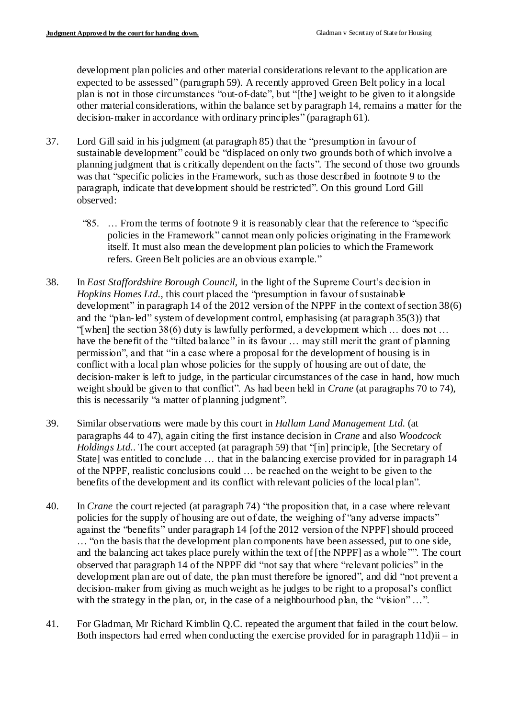development plan policies and other material considerations relevant to the application are expected to be assessed" (paragraph 59). A recently approved Green Belt policy in a local plan is not in those circumstances "out-of-date", but "[the] weight to be given to it alongside other material considerations, within the balance set by paragraph 14, remains a matter for the decision-maker in accordance with ordinary principles" (paragraph 61).

- 37. Lord Gill said in his judgment (at paragraph 85) that the "presumption in favour of sustainable development" could be "displaced on only two grounds both of which involve a planning judgment that is critically dependent on the facts". The second of those two grounds was that "specific policies in the Framework, such as those described in footnote 9 to the paragraph, indicate that development should be restricted". On this ground Lord Gill observed:
	- "85. … From the terms of footnote 9 it is reasonably clear that the reference to "specific policies in the Framework" cannot mean only policies originating in the Framework itself. It must also mean the development plan policies to which the Framework refers. Green Belt policies are an obvious example."
- 38. In *East Staffordshire Borough Council*, in the light of the Supreme Court's decision in *Hopkins Homes Ltd.*, this court placed the "presumption in favour of sustainable" development" in paragraph 14 of the 2012 version of the NPPF in the context of section 38(6) and the "plan-led" system of development control, emphasising (at paragraph 35(3)) that "[when] the section 38(6) duty is lawfully performed, a development which … does not … have the benefit of the "tilted balance" in its favour ... may still merit the grant of planning permission", and that "in a case where a proposal for the development of housing is in conflict with a local plan whose policies for the supply of housing are out of date, the decision-maker is left to judge, in the particular circumstances of the case in hand, how much weight should be given to that conflict". As had been held in *Crane* (at paragraphs 70 to 74), this is necessarily "a matter of planning judgment".
- 39. Similar observations were made by this court in *Hallam Land Management Ltd.* (at paragraphs 44 to 47), again citing the first instance decision in *Crane* and also *Woodcock Holdings Ltd.*. The court accepted (at paragraph 59) that "[in] principle, [the Secretary of State] was entitled to conclude … that in the balancing exercise provided for in paragraph 14 of the NPPF, realistic conclusions could … be reached on the weight to be given to the benefits of the development and its conflict with relevant policies of the local plan".
- 40. In *Crane* the court rejected (at paragraph 74) "the proposition that, in a case where relevant policies for the supply of housing are out of date, the weighing of "any adverse impacts" against the "benefits" under paragraph 14 [of the 2012 version of the NPPF] should proceed … "on the basis that the development plan components have been assessed, put to one side, and the balancing act takes place purely within the text of [the NPPF] as a whole "". The court observed that paragraph 14 of the NPPF did "not say that where "relevant policies" in the development plan are out of date, the plan must therefore be ignored", and did "not prevent a decision-maker from giving as much weight as he judges to be right to a proposal's conflict with the strategy in the plan, or, in the case of a neighbourhood plan, the "vision" ...".
- 41. For Gladman, Mr Richard Kimblin Q.C. repeated the argument that failed in the court below. Both inspectors had erred when conducting the exercise provided for in paragraph 11d)ii – in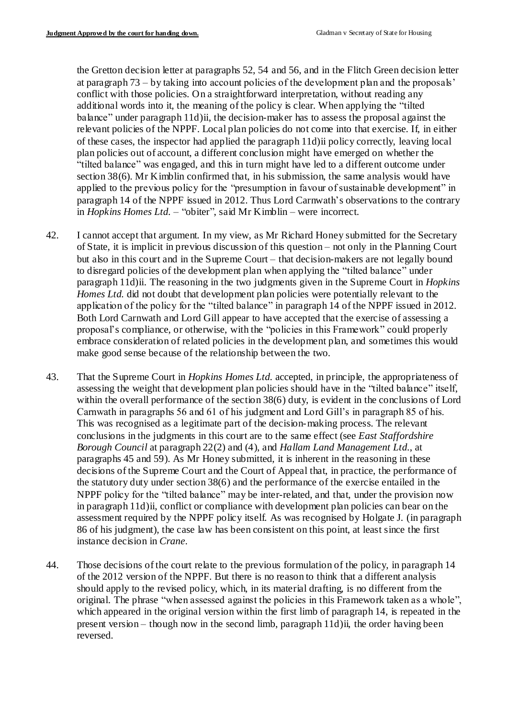the Gretton decision letter at paragraphs 52, 54 and 56, and in the Flitch Green decision letter at paragraph 73 – by taking into account policies of the development plan and the proposals' conflict with those policies. On a straightforward interpretation, without reading any additional words into it, the meaning of the policy is clear. When applying the "tilted balance" under paragraph 11d)ii, the decision-maker has to assess the proposal against the relevant policies of the NPPF. Local plan policies do not come into that exercise. If, in either of these cases, the inspector had applied the paragraph 11d)ii policy correctly, leaving local plan policies out of account, a different conclusion might have emerged on whether the "tilted balance" was engaged, and this in turn might have led to a different outcome under section 38(6). Mr Kimblin confirmed that, in his submission, the same analysis would have applied to the previous policy for the "presumption in favour of sustainable development" in paragraph 14 of the NPPF issued in 2012. Thus Lord Carnwath's observations to the contrary in *Hopkins Homes Ltd.* – "obiter", said Mr Kimblin – were incorrect.

- 42. I cannot accept that argument. In my view, as Mr Richard Honey submitted for the Secretary of State, it is implicit in previous discussion of this question – not only in the Planning Court but also in this court and in the Supreme Court – that decision-makers are not legally bound to disregard policies of the development plan when applying the "tilted balance" under paragraph 11d)ii. The reasoning in the two judgments given in the Supreme Court in *Hopkins Homes Ltd.* did not doubt that development plan policies were potentially relevant to the application of the policy for the "tilted balance" in paragraph 14 of the NPPF issued in 2012. Both Lord Carnwath and Lord Gill appear to have accepted that the exercise of assessing a proposal's compliance, or otherwise, with the "policies in this Framework" could properly embrace consideration of related policies in the development plan, and sometimes this would make good sense because of the relationship between the two.
- 43. That the Supreme Court in *Hopkins Homes Ltd.* accepted, in principle, the appropriateness of assessing the weight that development plan policies should have in the "tilted balance" itself, within the overall performance of the section 38(6) duty, is evident in the conclusions of Lord Carnwath in paragraphs 56 and 61 of his judgment and Lord Gill's in paragraph 85 of his. This was recognised as a legitimate part of the decision-making process. The relevant conclusions in the judgments in this court are to the same effect (see *East Staffordshire Borough Council* at paragraph 22(2) and (4), and *Hallam Land Management Ltd.*, at paragraphs 45 and 59). As Mr Honey submitted, it is inherent in the reasoning in these decisions of the Supreme Court and the Court of Appeal that, in practice, the performance of the statutory duty under section 38(6) and the performance of the exercise entailed in the NPPF policy for the "tilted balance" may be inter-related, and that, under the provision now in paragraph 11d)ii, conflict or compliance with development plan policies can bear on the assessment required by the NPPF policy itself. As was recognised by Holgate J. (in paragraph 86 of his judgment), the case law has been consistent on this point, at least since the first instance decision in *Crane*.
- 44. Those decisions of the court relate to the previous formulation of the policy, in paragraph 14 of the 2012 version of the NPPF. But there is no reason to think that a different analysis should apply to the revised policy, which, in its material drafting, is no different from the original. The phrase "when assessed against the policies in this Framework taken as a whole", which appeared in the original version within the first limb of paragraph 14, is repeated in the present version – though now in the second limb, paragraph 11d)ii, the order having been reversed.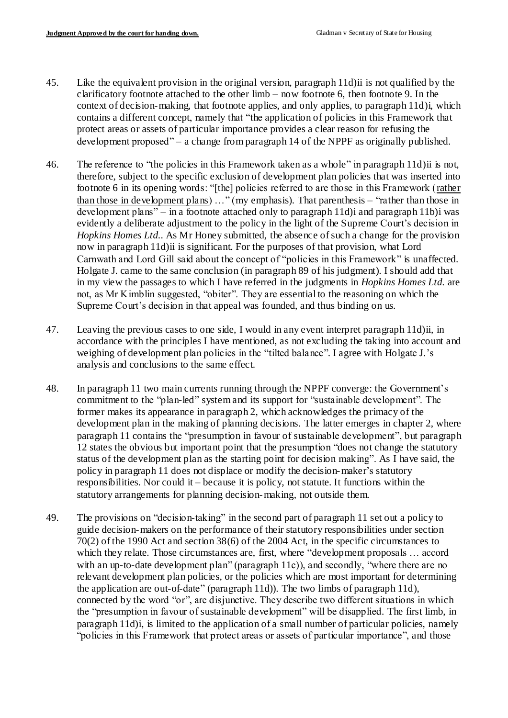- 45. Like the equivalent provision in the original version, paragraph 11d)ii is not qualified by the clarificatory footnote attached to the other limb – now footnote 6, then footnote 9. In the context of decision-making, that footnote applies, and only applies, to paragraph 11d)i, which contains a different concept, namely that "the application of policies in this Framework that protect areas or assets of particular importance provides a clear reason for refusing the development proposed" – a change from paragraph 14 of the NPPF as originally published.
- 46. The reference to "the policies in this Framework taken as a whole" in paragraph 11d)ii is not, therefore, subject to the specific exclusion of development plan policies that was inserted into footnote 6 in its opening words: "[the] policies referred to are those in this Framework (rather than those in development plans) …" (my emphasis). That parenthesis – "rather than those in development plans" – in a footnote attached only to paragraph 11d)i and paragraph 11b)i was evidently a deliberate adjustment to the policy in the light of the Supreme Court's decision in *Hopkins Homes Ltd.*. As Mr Honey submitted, the absence of such a change for the provision now in paragraph 11d)ii is significant. For the purposes of that provision, what Lord Carnwath and Lord Gill said about the concept of "policies in this Framework" is unaffected. Holgate J. came to the same conclusion (in paragraph 89 of his judgment). I should add that in my view the passages to which I have referred in the judgments in *Hopkins Homes Ltd.* are not, as Mr Kimblin suggested, "obiter". They are essential to the reasoning on which the Supreme Court's decision in that appeal was founded, and thus binding on us.
- 47. Leaving the previous cases to one side, I would in any event interpret paragraph 11d)ii, in accordance with the principles I have mentioned, as not excluding the taking into account and weighing of development plan policies in the "tilted balance". I agree with Holgate J.'s analysis and conclusions to the same effect.
- 48. In paragraph 11 two main currents running through the NPPF converge: the Government's commitment to the "plan-led" system and its support for "sustainable development". The former makes its appearance in paragraph 2, which acknowledges the primacy of the development plan in the making of planning decisions. The latter emerges in chapter 2, where paragraph 11 contains the "presumption in favour of sustainable development", but paragraph 12 states the obvious but important point that the presumption "does not change the statutory status of the development plan as the starting point for decision making". As I have said, the policy in paragraph 11 does not displace or modify the decision-maker's statutory responsibilities. Nor could it – because it is policy, not statute. It functions within the statutory arrangements for planning decision-making, not outside them.
- 49. The provisions on "decision-taking" in the second part of paragraph 11 set out a policy to guide decision-makers on the performance of their statutory responsibilities under section 70(2) of the 1990 Act and section 38(6) of the 2004 Act, in the specific circumstances to which they relate. Those circumstances are, first, where "development proposals … accord with an up-to-date development plan" (paragraph 11c)), and secondly, "where there are no relevant development plan policies, or the policies which are most important for determining the application are out-of-date" (paragraph 11d)). The two limbs of paragraph 11d), connected by the word "or", are disjunctive. They describe two different situations in which the "presumption in favour of sustainable development" will be disapplied. The first limb, in paragraph 11d)i, is limited to the application of a small number of particular policies, namely "policies in this Framework that protect areas or assets of particular importance", and those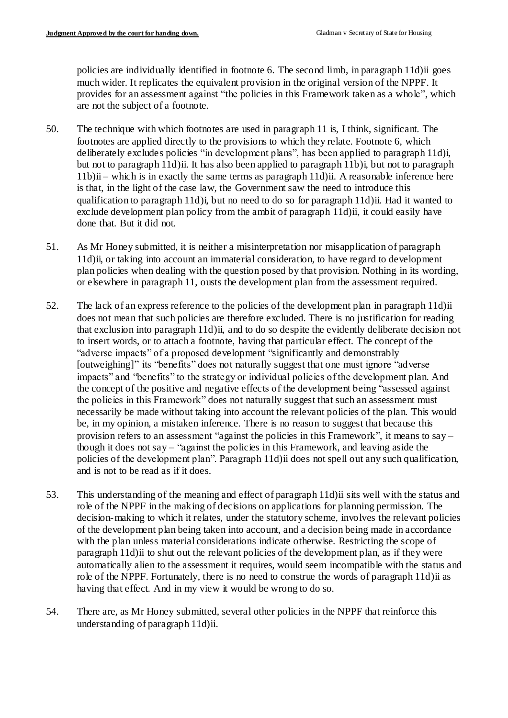policies are individually identified in footnote 6. The second limb, in paragraph 11d)ii goes much wider. It replicates the equivalent provision in the original version of the NPPF. It provides for an assessment against "the policies in this Framework taken as a whole", which are not the subject of a footnote.

- 50. The technique with which footnotes are used in paragraph 11 is, I think, significant. The footnotes are applied directly to the provisions to which they relate. Footnote 6, which deliberately excludes policies "in development plans", has been applied to paragraph 11d)i, but not to paragraph 11d)ii. It has also been applied to paragraph 11b)i, but not to paragraph 11b)ii – which is in exactly the same terms as paragraph 11d)ii. A reasonable inference here is that, in the light of the case law, the Government saw the need to introduce this qualification to paragraph 11d)i, but no need to do so for paragraph 11d)ii. Had it wanted to exclude development plan policy from the ambit of paragraph 11d)ii, it could easily have done that. But it did not.
- 51. As Mr Honey submitted, it is neither a misinterpretation nor misapplication of paragraph 11d)ii, or taking into account an immaterial consideration, to have regard to development plan policies when dealing with the question posed by that provision. Nothing in its wording, or elsewhere in paragraph 11, ousts the development plan from the assessment required.
- 52. The lack of an express reference to the policies of the development plan in paragraph 11d)ii does not mean that such policies are therefore excluded. There is no justification for reading that exclusion into paragraph 11d)ii, and to do so despite the evidently deliberate decision not to insert words, or to attach a footnote, having that particular effect. The concept of the "adverse impacts" of a proposed development "significantly and demonstrably [outweighing]" its "benefits" does not naturally suggest that one must ignore "adverse impacts" and "benefits" to the strategy or individual policies of the development plan. And the concept of the positive and negative effects of the development being "assessed against the policies in this Framework" does not naturally suggest that such an assessment must necessarily be made without taking into account the relevant policies of the plan. This would be, in my opinion, a mistaken inference. There is no reason to suggest that because this provision refers to an assessment "against the policies in this Framework", it means to say – though it does not say – "against the policies in this Framework, and leaving aside the policies of the development plan". Paragraph 11d)ii does not spell out any such qualification, and is not to be read as if it does.
- 53. This understanding of the meaning and effect of paragraph 11d)ii sits well with the status and role of the NPPF in the making of decisions on applications for planning permission. The decision-making to which it relates, under the statutory scheme, involves the relevant policies of the development plan being taken into account, and a decision being made in accordance with the plan unless material considerations indicate otherwise. Restricting the scope of paragraph 11d)ii to shut out the relevant policies of the development plan, as if they were automatically alien to the assessment it requires, would seem incompatible with the status and role of the NPPF. Fortunately, there is no need to construe the words of paragraph 11d)ii as having that effect. And in my view it would be wrong to do so.
- 54. There are, as Mr Honey submitted, several other policies in the NPPF that reinforce this understanding of paragraph 11d)ii.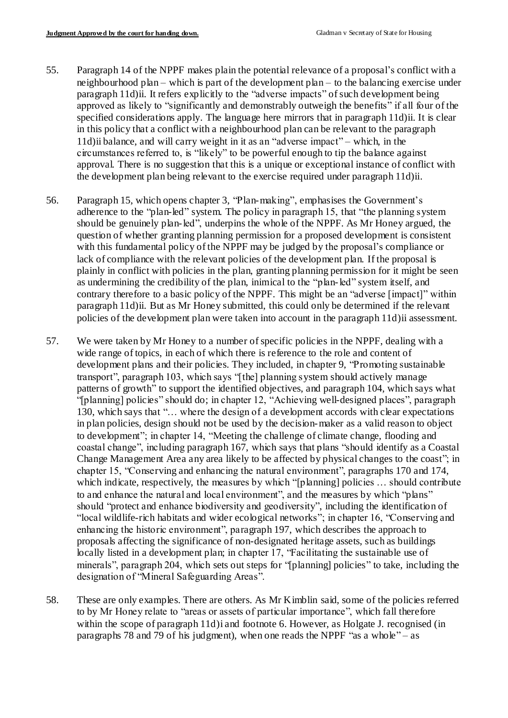- 55. Paragraph 14 of the NPPF makes plain the potential relevance of a proposal's conflict with a neighbourhood plan – which is part of the development plan – to the balancing exercise under paragraph 11d)ii. It refers explicitly to the "adverse impacts" of such development being approved as likely to "significantly and demonstrably outweigh the benefits" if all four of the specified considerations apply. The language here mirrors that in paragraph 11d)ii. It is clear in this policy that a conflict with a neighbourhood plan can be relevant to the paragraph 11d)ii balance, and will carry weight in it as an "adverse impact" – which, in the circumstances referred to, is "likely" to be powerful enough to tip the balance against approval. There is no suggestion that this is a unique or exceptional instance of conflict with the development plan being relevant to the exercise required under paragraph 11d)ii.
- 56. Paragraph 15, which opens chapter 3, "Plan-making", emphasises the Government's adherence to the "plan-led" system. The policy in paragraph 15, that "the planning system should be genuinely plan-led", underpins the whole of the NPPF. As Mr Honey argued, the question of whether granting planning permission for a proposed development is consistent with this fundamental policy of the NPPF may be judged by the proposal's compliance or lack of compliance with the relevant policies of the development plan. If the proposal is plainly in conflict with policies in the plan, granting planning permission for it might be seen as undermining the credibility of the plan, inimical to the "plan-led" system itself, and contrary therefore to a basic policy of the NPPF. This might be an "adverse [impact]" within paragraph 11d)ii. But as Mr Honey submitted, this could only be determined if the relevant policies of the development plan were taken into account in the paragraph 11d)ii assessment.
- 57. We were taken by Mr Honey to a number of specific policies in the NPPF, dealing with a wide range of topics, in each of which there is reference to the role and content of development plans and their policies. They included, in chapter 9, "Promoting sustainable transport", paragraph 103, which says "[the] planning system should actively manage patterns of growth" to support the identified objectives, and paragraph 104, which says what "[planning] policies" should do; in chapter 12, "Achieving well-designed places", paragraph 130, which says that "… where the design of a development accords with clear expectations in plan policies, design should not be used by the decision-maker as a valid reason to object to development"; in chapter 14, "Meeting the challenge of climate change, flooding and coastal change", including paragraph 167, which says that plans "should identify as a Coastal Change Management Area any area likely to be affected by physical changes to the coast"; in chapter 15, "Conserving and enhancing the natural environment", paragraphs 170 and 174, which indicate, respectively, the measures by which "[planning] policies ... should contribute to and enhance the natural and local environment", and the measures by which "plans" should "protect and enhance biodiversity and geodiversity", including the identification of "local wildlife-rich habitats and wider ecological networks"; in chapter 16, "Conserving and enhancing the historic environment", paragraph 197, which describes the approach to proposals affecting the significance of non-designated heritage assets, such as buildings locally listed in a development plan; in chapter 17, "Facilitating the sustainable use of minerals", paragraph 204, which sets out steps for "[planning] policies" to take, including the designation of "Mineral Safeguarding Areas".
- 58. These are only examples. There are others. As Mr Kimblin said, some of the policies referred to by Mr Honey relate to "areas or assets of particular importance", which fall therefore within the scope of paragraph 11d) i and footnote 6. However, as Holgate J. recognised (in paragraphs 78 and 79 of his judgment), when one reads the NPPF "as a whole" – as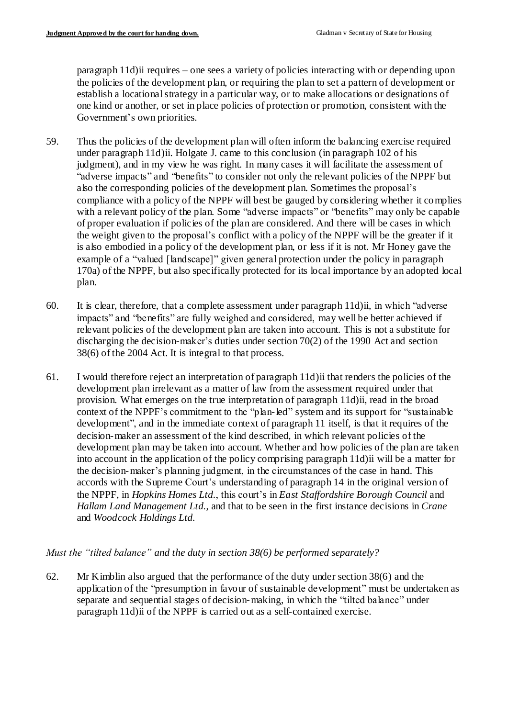paragraph 11d)ii requires – one sees a variety of policies interacting with or depending upon the policies of the development plan, or requiring the plan to set a pattern of development or establish a locational strategy in a particular way, or to make allocations or designations of one kind or another, or set in place policies of protection or promotion, consistent with the Government's own priorities.

- 59. Thus the policies of the development plan will often inform the balancing exercise required under paragraph 11d)ii. Holgate J. came to this conclusion (in paragraph 102 of his judgment), and in my view he was right. In many cases it will facilitate the assessment of "adverse impacts" and "benefits" to consider not only the relevant policies of the NPPF but also the corresponding policies of the development plan. Sometimes the proposal's compliance with a policy of the NPPF will best be gauged by considering whether it complies with a relevant policy of the plan. Some "adverse impacts" or "benefits" may only be capable of proper evaluation if policies of the plan are considered. And there will be cases in which the weight given to the proposal's conflict with a policy of the NPPF will be the greater if it is also embodied in a policy of the development plan, or less if it is not. Mr Honey gave the example of a "valued [landscape]" given general protection under the policy in paragraph 170a) of the NPPF, but also specifically protected for its local importance by an adopted local plan.
- 60. It is clear, therefore, that a complete assessment under paragraph 11d)ii, in which "adverse impacts" and "benefits" are fully weighed and considered, may well be better achieved if relevant policies of the development plan are taken into account. This is not a substitute for discharging the decision-maker's duties under section 70(2) of the 1990 Act and section 38(6) of the 2004 Act. It is integral to that process.
- 61. I would therefore reject an interpretation of paragraph 11d)ii that renders the policies of the development plan irrelevant as a matter of law from the assessment required under that provision. What emerges on the true interpretation of paragraph 11d)ii, read in the broad context of the NPPF's commitment to the "plan-led" system and its support for "sustainable development", and in the immediate context of paragraph 11 itself, is that it requires of the decision-maker an assessment of the kind described, in which relevant policies of the development plan may be taken into account. Whether and how policies of the plan are taken into account in the application of the policy comprising paragraph 11d)ii will be a matter for the decision-maker's planning judgment, in the circumstances of the case in hand. This accords with the Supreme Court's understanding of paragraph 14 in the original version of the NPPF, in *Hopkins Homes Ltd.*, this court's in *East Staffordshire Borough Council* and *Hallam Land Management Ltd.*, and that to be seen in the first instance decisions in *Crane* and *Woodcock Holdings Ltd.*

## *Must the "tilted balance" and the duty in section 38(6) be performed separately?*

62. Mr Kimblin also argued that the performance of the duty under section 38(6) and the application of the "presumption in favour of sustainable development" must be undertaken as separate and sequential stages of decision-making, in which the "tilted balance" under paragraph 11d)ii of the NPPF is carried out as a self-contained exercise.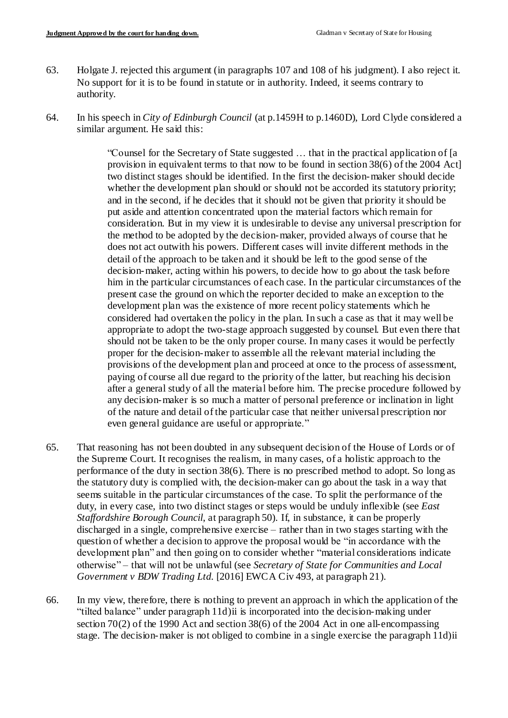- 63. Holgate J. rejected this argument (in paragraphs 107 and 108 of his judgment). I also reject it. No support for it is to be found in statute or in authority. Indeed, it seems contrary to authority.
- 64. In his speech in *City of Edinburgh Council* (at p.1459H to p.1460D), Lord Clyde considered a similar argument. He said this:

"Counsel for the Secretary of State suggested … that in the practical application of [a provision in equivalent terms to that now to be found in section 38(6) of the 2004 Act] two distinct stages should be identified. In the first the decision-maker should decide whether the development plan should or should not be accorded its statutory priority; and in the second, if he decides that it should not be given that priority it should be put aside and attention concentrated upon the material factors which remain for consideration. But in my view it is undesirable to devise any universal prescription for the method to be adopted by the decision-maker, provided always of course that he does not act outwith his powers. Different cases will invite different methods in the detail of the approach to be taken and it should be left to the good sense of the decision-maker, acting within his powers, to decide how to go about the task before him in the particular circumstances of each case. In the particular circumstances of the present case the ground on which the reporter decided to make an exception to the development plan was the existence of more recent policy statements which he considered had overtaken the policy in the plan. In such a case as that it may well be appropriate to adopt the two-stage approach suggested by counsel. But even there that should not be taken to be the only proper course. In many cases it would be perfectly proper for the decision-maker to assemble all the relevant material including the provisions of the development plan and proceed at once to the process of assessment, paying of course all due regard to the priority of the latter, but reaching his decision after a general study of all the material before him. The precise procedure followed by any decision-maker is so much a matter of personal preference or inclination in light of the nature and detail of the particular case that neither universal prescription nor even general guidance are useful or appropriate."

- 65. That reasoning has not been doubted in any subsequent decision of the House of Lords or of the Supreme Court. It recognises the realism, in many cases, of a holistic approach to the performance of the duty in section 38(6). There is no prescribed method to adopt. So long as the statutory duty is complied with, the decision-maker can go about the task in a way that seems suitable in the particular circumstances of the case. To split the performance of the duty, in every case, into two distinct stages or steps would be unduly inflexible (see *East Staffordshire Borough Council*, at paragraph 50). If, in substance, it can be properly discharged in a single, comprehensive exercise – rather than in two stages starting with the question of whether a decision to approve the proposal would be "in accordance with the development plan" and then going on to consider whether "material considerations indicate otherwise" – that will not be unlawful (see *Secretary of State for Communities and Local Government v BDW Trading Ltd.* [2016] EWCA Civ 493, at paragraph 21).
- 66. In my view, therefore, there is nothing to prevent an approach in which the application of the "tilted balance" under paragraph 11d)ii is incorporated into the decision-making under section 70(2) of the 1990 Act and section 38(6) of the 2004 Act in one all-encompassing stage. The decision-maker is not obliged to combine in a single exercise the paragraph 11d)ii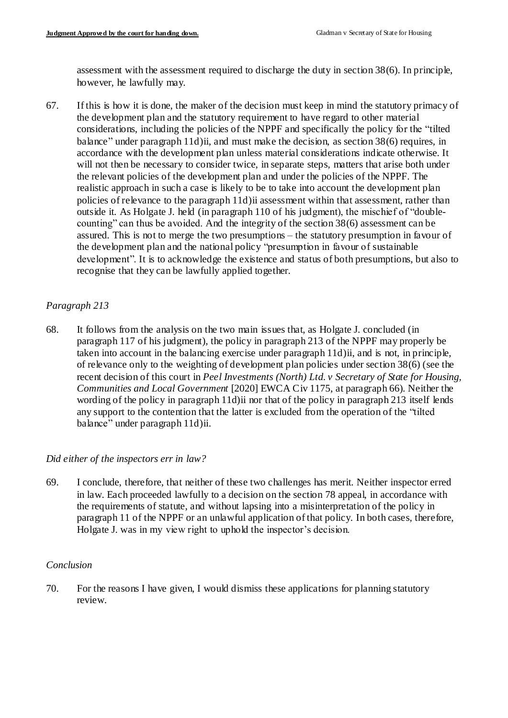assessment with the assessment required to discharge the duty in section 38(6). In principle, however, he lawfully may.

67. If this is how it is done, the maker of the decision must keep in mind the statutory primacy of the development plan and the statutory requirement to have regard to other material considerations, including the policies of the NPPF and specifically the policy for the "tilted balance" under paragraph 11d)ii, and must make the decision, as section 38(6) requires, in accordance with the development plan unless material considerations indicate otherwise. It will not then be necessary to consider twice, in separate steps, matters that arise both under the relevant policies of the development plan and under the policies of the NPPF. The realistic approach in such a case is likely to be to take into account the development plan policies of relevance to the paragraph 11d)ii assessment within that assessment, rather than outside it. As Holgate J. held (in paragraph 110 of his judgment), the mischief of "doublecounting" can thus be avoided. And the integrity of the section 38(6) assessment can be assured. This is not to merge the two presumptions – the statutory presumption in favour of the development plan and the national policy "presumption in favour of sustainable development". It is to acknowledge the existence and status of both presumptions, but also to recognise that they can be lawfully applied together.

### *Paragraph 213*

68. It follows from the analysis on the two main issues that, as Holgate J. concluded (in paragraph 117 of his judgment), the policy in paragraph 213 of the NPPF may properly be taken into account in the balancing exercise under paragraph 11d)ii, and is not, in principle, of relevance only to the weighting of development plan policies under section 38(6) (see the recent decision of this court in *Peel Investments (North) Ltd. v Secretary of State for Housing, Communities and Local Government* [2020] EWCA Civ 1175, at paragraph 66). Neither the wording of the policy in paragraph 11d)ii nor that of the policy in paragraph 213 itself lends any support to the contention that the latter is excluded from the operation of the "tilted balance" under paragraph 11d)ii.

### *Did either of the inspectors err in law?*

69. I conclude, therefore, that neither of these two challenges has merit. Neither inspector erred in law. Each proceeded lawfully to a decision on the section 78 appeal, in accordance with the requirements of statute, and without lapsing into a misinterpretation of the policy in paragraph 11 of the NPPF or an unlawful application of that policy. In both cases, therefore, Holgate J. was in my view right to uphold the inspector's decision.

### *Conclusion*

70. For the reasons I have given, I would dismiss these applications for planning statutory review.